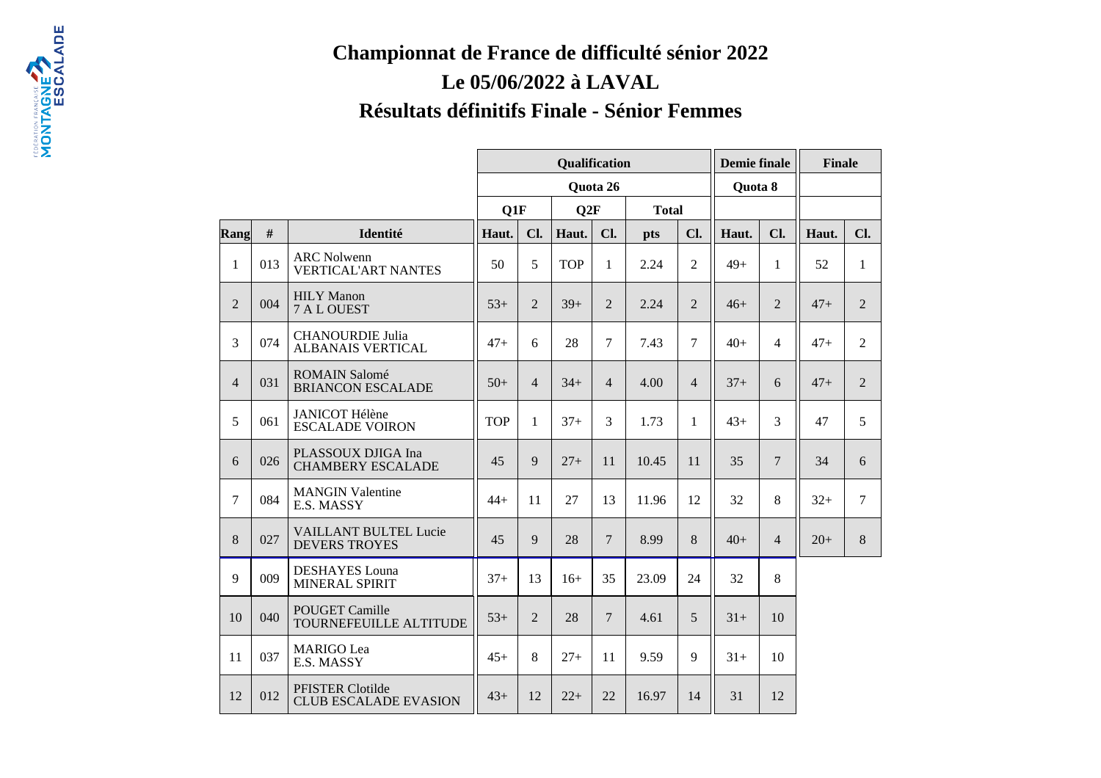## **Championnat de France de difficulté sénior 2022Le 05/06/2022 à LAVALRésultats définitifs Finale - Sénior Femmes**

|                |     |                                                         |            |                | <b>Qualification</b> |                |              | <b>Demie finale</b> |         | <b>Finale</b>   |       |                |
|----------------|-----|---------------------------------------------------------|------------|----------------|----------------------|----------------|--------------|---------------------|---------|-----------------|-------|----------------|
|                |     |                                                         |            |                |                      | Quota 26       |              |                     | Quota 8 |                 |       |                |
|                |     |                                                         | Q1F        |                | Q2F                  |                | <b>Total</b> |                     |         |                 |       |                |
| Rang           | #   | Identité                                                | Haut.      | Cl.            | Haut.                | Cl.            | pts          | Cl.                 | Haut.   | Cl.             | Haut. | Cl.            |
| $\mathbf{1}$   | 013 | <b>ARC</b> Nolwenn<br><b>VERTICAL'ART NANTES</b>        | 50         | 5              | <b>TOP</b>           | $\mathbf{1}$   | 2.24         | $\overline{2}$      | $49+$   | $\mathbf{1}$    | 52    | $\mathbf{1}$   |
| $\overline{2}$ | 004 | <b>HILY</b> Manon<br>7 A L OUEST                        | $53+$      | $\overline{2}$ | $39+$                | $\overline{2}$ | 2.24         | $\overline{2}$      | $46+$   | $\overline{2}$  | $47+$ | $\overline{2}$ |
| $\overline{3}$ | 074 | <b>CHANOURDIE Julia</b><br><b>ALBANAIS VERTICAL</b>     | $47+$      | 6              | 28                   | 7              | 7.43         | $\overline{7}$      | $40+$   | $\overline{4}$  | $47+$ | $\overline{2}$ |
| $\overline{4}$ | 031 | <b>ROMAIN Salomé</b><br><b>BRIANCON ESCALADE</b>        | $50+$      | $\overline{4}$ | $34+$                | $\overline{4}$ | 4.00         | $\overline{4}$      | $37+$   | 6               | $47+$ | $\overline{2}$ |
| 5              | 061 | <b>JANICOT Hélène</b><br><b>ESCALADE VOIRON</b>         | <b>TOP</b> | 1              | $37+$                | 3              | 1.73         | 1                   | $43+$   | $\overline{3}$  | 47    | 5              |
| 6              | 026 | PLASSOUX DJIGA Ina<br><b>CHAMBERY ESCALADE</b>          | 45         | $\mathbf{Q}$   | $27+$                | 11             | 10.45        | 11                  | 35      | $7\overline{ }$ | 34    | 6              |
| $\overline{7}$ | 084 | <b>MANGIN Valentine</b><br>E.S. MASSY                   | $44+$      | 11             | 27                   | 13             | 11.96        | 12                  | 32      | 8               | $32+$ | $\overline{7}$ |
| 8              | 027 | <b>VAILLANT BULTEL Lucie</b><br><b>DEVERS TROYES</b>    | 45         | $\mathbf{Q}$   | 28                   | $\overline{7}$ | 8.99         | 8                   | $40+$   | $\overline{4}$  | $20+$ | 8              |
| 9              | 009 | <b>DESHAYES</b> Louna<br><b>MINERAL SPIRIT</b>          | $37+$      | 13             | $16+$                | 35             | 23.09        | 24                  | 32      | 8               |       |                |
| 10             | 040 | <b>POUGET Camille</b><br>TOURNEFEUILLE ALTITUDE         | $53+$      | $\overline{2}$ | 28                   | $\overline{7}$ | 4.61         | 5                   | $31+$   | 10              |       |                |
| 11             | 037 | <b>MARIGO</b> Lea<br>E.S. MASSY                         | $45+$      | 8              | $27+$                | 11             | 9.59         | 9                   | $31+$   | 10              |       |                |
| 12             | 012 | <b>PFISTER Clotilde</b><br><b>CLUB ESCALADE EVASION</b> | $43+$      | 12             | $22+$                | 22             | 16.97        | 14                  | 31      | 12              |       |                |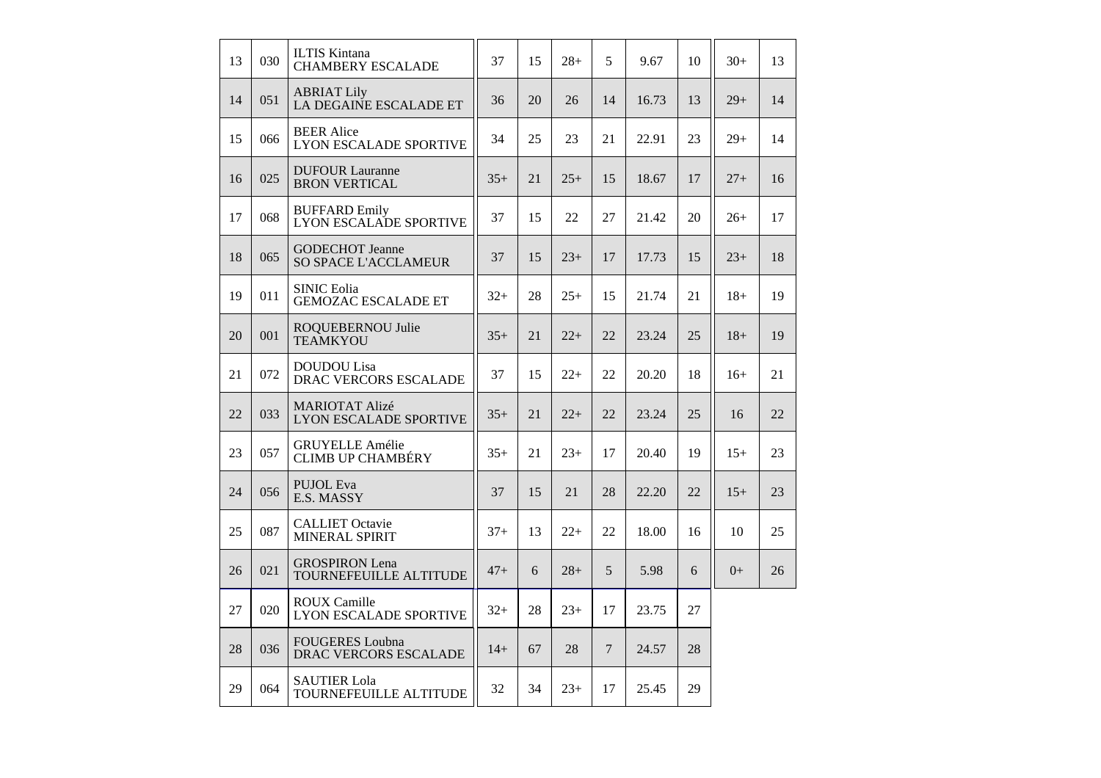| 13 | 030 | <b>ILTIS Kintana</b><br><b>CHAMBERY ESCALADE</b>       | 37    | 15 | $28+$ | 5              | 9.67  | 10 | $30+$ | 13 |
|----|-----|--------------------------------------------------------|-------|----|-------|----------------|-------|----|-------|----|
| 14 | 051 | <b>ABRIAT Lily</b><br>LA DEGAINE ESCALADE ET           | 36    | 20 | 26    | 14             | 16.73 | 13 | $29+$ | 14 |
| 15 | 066 | <b>BEER</b> Alice<br><b>LYON ESCALADE SPORTIVE</b>     | 34    | 25 | 23    | 21             | 22.91 | 23 | $29+$ | 14 |
| 16 | 025 | <b>DUFOUR Lauranne</b><br><b>BRON VERTICAL</b>         | $35+$ | 21 | $25+$ | 15             | 18.67 | 17 | $27+$ | 16 |
| 17 | 068 | <b>BUFFARD Emily</b><br><b>LYON ESCALADE SPORTIVE</b>  | 37    | 15 | 22    | 27             | 21.42 | 20 | $26+$ | 17 |
| 18 | 065 | <b>GODECHOT</b> Jeanne<br>SO SPACE L'ACCLAMEUR         | 37    | 15 | $23+$ | 17             | 17.73 | 15 | $23+$ | 18 |
| 19 | 011 | <b>SINIC Eolia</b><br><b>GEMOZAC ESCALADE ET</b>       | $32+$ | 28 | $25+$ | 15             | 21.74 | 21 | $18+$ | 19 |
| 20 | 001 | ROQUEBERNOU Julie<br><b>TEAMKYOU</b>                   | $35+$ | 21 | $22+$ | 22             | 23.24 | 25 | $18+$ | 19 |
| 21 | 072 | <b>DOUDOU</b> Lisa<br>DRAC VERCORS ESCALADE            | 37    | 15 | $22+$ | 22             | 20.20 | 18 | $16+$ | 21 |
| 22 | 033 | <b>MARIOTAT Alizé</b><br><b>LYON ESCALADE SPORTIVE</b> | $35+$ | 21 | $22+$ | 22             | 23.24 | 25 | 16    | 22 |
| 23 | 057 | <b>GRUYELLE Amélie</b><br><b>CLIMB UP CHAMBÉRY</b>     | $35+$ | 21 | $23+$ | 17             | 20.40 | 19 | $15+$ | 23 |
| 24 | 056 | <b>PUJOL</b> Eva<br>E.S. MASSY                         | 37    | 15 | 21    | 28             | 22.20 | 22 | $15+$ | 23 |
| 25 | 087 | <b>CALLIET Octavie</b><br>MINERAL SPIRIT               | $37+$ | 13 | $22+$ | 22             | 18.00 | 16 | 10    | 25 |
| 26 | 021 | <b>GROSPIRON</b> Lena<br><b>TOURNEFEUILLE ALTITUDE</b> | $47+$ | 6  | $28+$ | 5              | 5.98  | 6  | $0+$  | 26 |
| 27 | 020 | <b>ROUX Camille</b><br><b>LYON ESCALADE SPORTIVE</b>   | $32+$ | 28 | $23+$ | 17             | 23.75 | 27 |       |    |
| 28 | 036 | <b>FOUGERES</b> Loubna<br>DRAC VERCORS ESCALADE        | $14+$ | 67 | 28    | $\overline{7}$ | 24.57 | 28 |       |    |
| 29 | 064 | <b>SAUTIER Lola</b><br>TOURNEFEUILLE ALTITUDE          | 32    | 34 | $23+$ | 17             | 25.45 | 29 |       |    |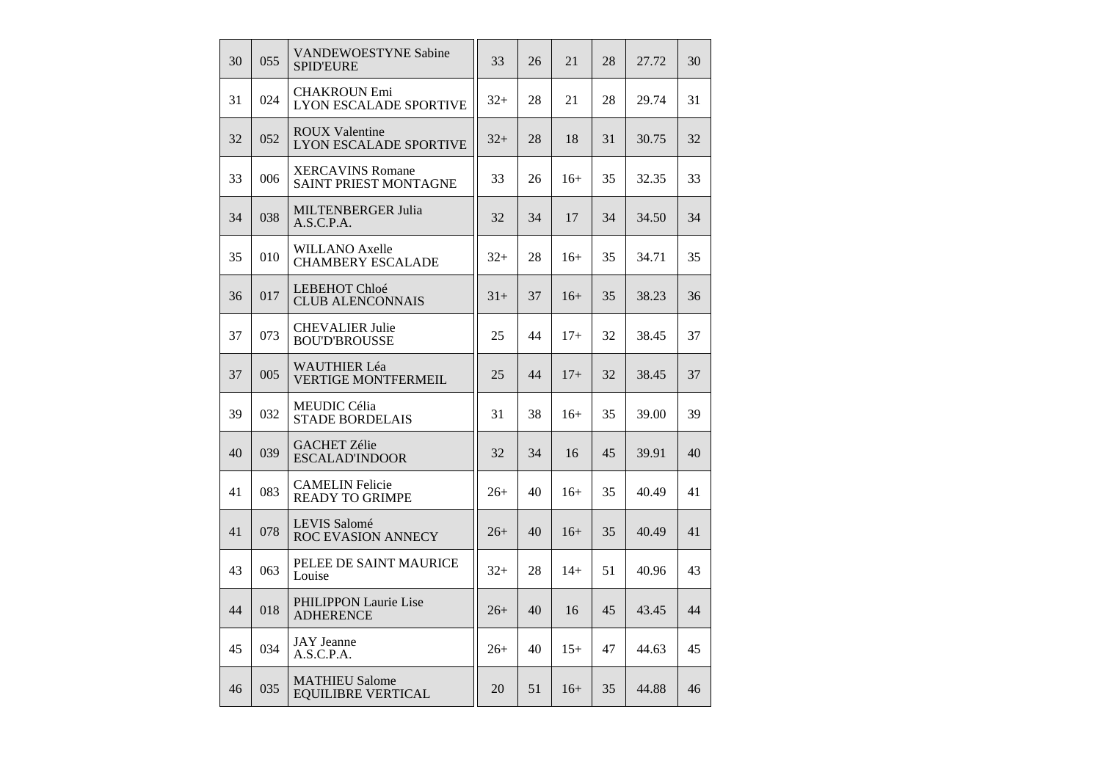| 30 | 0.55 | VANDEWOESTYNE Sabine<br><b>SPID'EURE</b>               | 33    | 26 | 21    | 28 | 27.72 | 30 |
|----|------|--------------------------------------------------------|-------|----|-------|----|-------|----|
| 31 | 024  | <b>CHAKROUN Emi</b><br><b>LYON ESCALADE SPORTIVE</b>   | $32+$ | 28 | 21    | 28 | 29.74 | 31 |
| 32 | 052  | <b>ROUX Valentine</b><br><b>LYON ESCALADE SPORTIVE</b> | $32+$ | 28 | 18    | 31 | 30.75 | 32 |
| 33 | 006  | <b>XERCAVINS Romane</b><br>SAINT PRIEST MONTAGNE       | 33    | 26 | $16+$ | 35 | 32.35 | 33 |
| 34 | 038  | <b>MILTENBERGER Julia</b><br>A.S.C.P.A.                | 32    | 34 | 17    | 34 | 34.50 | 34 |
| 35 | 010  | <b>WILLANO Axelle</b><br><b>CHAMBERY ESCALADE</b>      | $32+$ | 28 | $16+$ | 35 | 34.71 | 35 |
| 36 | 017  | <b>LEBEHOT Chloé</b><br><b>CLUB ALENCONNAIS</b>        | $31+$ | 37 | $16+$ | 35 | 38.23 | 36 |
| 37 | 073  | <b>CHEVALIER Julie</b><br><b>BOU'D'BROUSSE</b>         | 25    | 44 | $17+$ | 32 | 38.45 | 37 |
| 37 | 005  | WAUTHIER Léa<br><b>VERTIGE MONTFERMEIL</b>             | 25    | 44 | $17+$ | 32 | 38.45 | 37 |
| 39 | 032  | MEUDIC Célia<br><b>STADE BORDELAIS</b>                 | 31    | 38 | $16+$ | 35 | 39.00 | 39 |
| 40 | 039  | <b>GACHET Zélie</b><br><b>ESCALAD'INDOOR</b>           | 32    | 34 | 16    | 45 | 39.91 | 40 |
| 41 | 083  | <b>CAMELIN Felicie</b><br><b>READY TO GRIMPE</b>       | $26+$ | 40 | $16+$ | 35 | 40.49 | 41 |
| 41 | 078  | <b>LEVIS Salomé</b><br><b>ROC EVASION ANNECY</b>       | $26+$ | 40 | $16+$ | 35 | 40.49 | 41 |
| 43 | 063  | PELEE DE SAINT MAURICE<br>Louise                       | $32+$ | 28 | $14+$ | 51 | 40.96 | 43 |
| 44 | 018  | PHILIPPON Laurie Lise<br><b>ADHERENCE</b>              | $26+$ | 40 | 16    | 45 | 43.45 | 44 |
| 45 | 034  | <b>JAY</b> Jeanne<br>A.S.C.P.A.                        | $26+$ | 40 | $15+$ | 47 | 44.63 | 45 |
| 46 | 035  | <b>MATHIEU Salome</b><br><b>EQUILIBRE VERTICAL</b>     | 20    | 51 | $16+$ | 35 | 44.88 | 46 |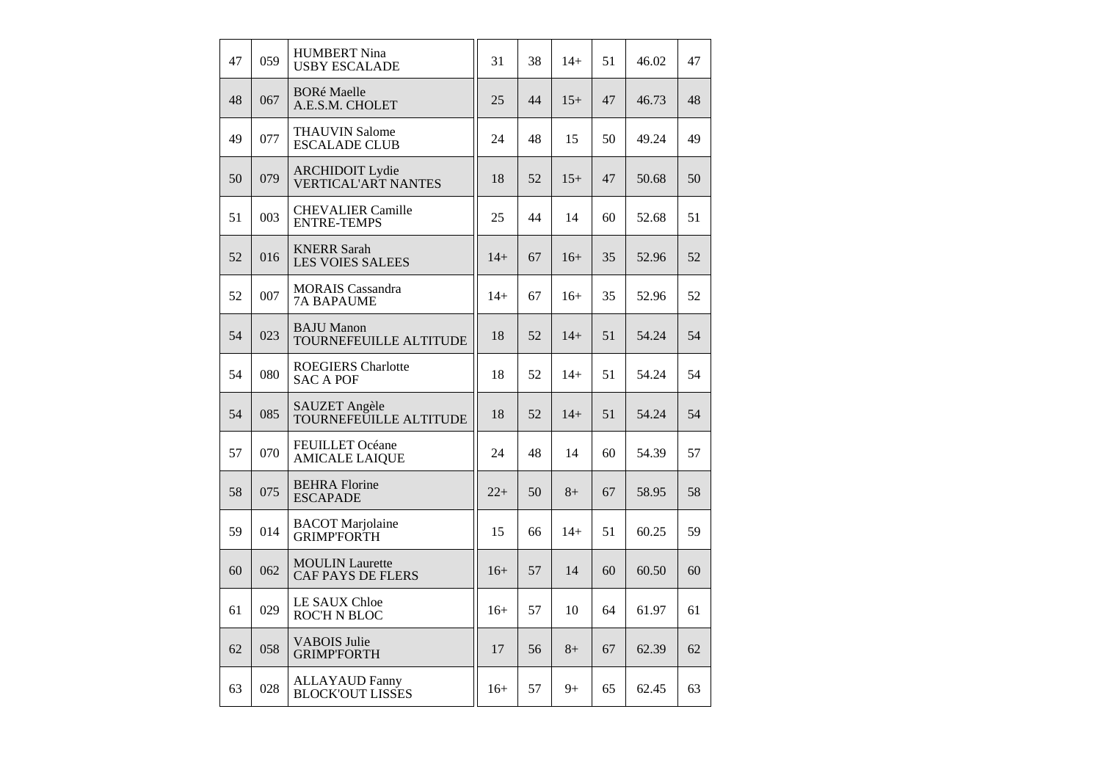| 47 | 059 | <b>HUMBERT Nina</b><br><b>USBY ESCALADE</b>          | 31    | 38 | $14+$ | 51 | 46.02 | 47 |
|----|-----|------------------------------------------------------|-------|----|-------|----|-------|----|
| 48 | 067 | <b>BORé Maelle</b><br>A.E.S.M. CHOLET                | 25    | 44 | $15+$ | 47 | 46.73 | 48 |
| 49 | 077 | <b>THAUVIN Salome</b><br><b>ESCALADE CLUB</b>        | 24    | 48 | 15    | 50 | 49.24 | 49 |
| 50 | 079 | <b>ARCHIDOIT Lydie</b><br><b>VERTICAL'ART NANTES</b> | 18    | 52 | $15+$ | 47 | 50.68 | 50 |
| 51 | 003 | <b>CHEVALIER Camille</b><br><b>ENTRE-TEMPS</b>       | 25    | 44 | 14    | 60 | 52.68 | 51 |
| 52 | 016 | <b>KNERR Sarah</b><br><b>LES VOIES SALEES</b>        | $14+$ | 67 | $16+$ | 35 | 52.96 | 52 |
| 52 | 007 | <b>MORAIS</b> Cassandra<br><b>7A BAPAUME</b>         | $14+$ | 67 | $16+$ | 35 | 52.96 | 52 |
| 54 | 023 | <b>BAJU</b> Manon<br>TOURNEFEUILLE ALTITUDE          | 18    | 52 | $14+$ | 51 | 54.24 | 54 |
| 54 | 080 | <b>ROEGIERS</b> Charlotte<br><b>SAC A POF</b>        | 18    | 52 | $14+$ | 51 | 54.24 | 54 |
| 54 | 085 | SAUZET Angèle<br>TOURNEFEUILLE ALTITUDE              | 18    | 52 | $14+$ | 51 | 54.24 | 54 |
| 57 | 070 | <b>FEUILLET</b> Océane<br><b>AMICALE LAIQUE</b>      | 24    | 48 | 14    | 60 | 54.39 | 57 |
| 58 | 075 | <b>BEHRA Florine</b><br><b>ESCAPADE</b>              | $22+$ | 50 | $8+$  | 67 | 58.95 | 58 |
| 59 | 014 | <b>BACOT</b> Marjolaine<br><b>GRIMP'FORTH</b>        | 15    | 66 | $14+$ | 51 | 60.25 | 59 |
| 60 | 062 | <b>MOULIN</b> Laurette<br><b>CAF PAYS DE FLERS</b>   | $16+$ | 57 | 14    | 60 | 60.50 | 60 |
| 61 | 029 | <b>LE SAUX Chloe</b><br><b>ROC'H N BLOC</b>          | $16+$ | 57 | 10    | 64 | 61.97 | 61 |
| 62 | 058 | <b>VABOIS Julie</b><br><b>GRIMP'FORTH</b>            | 17    | 56 | $8+$  | 67 | 62.39 | 62 |
| 63 | 028 | <b>ALLAYAUD Fanny</b><br><b>BLOCK'OUT LISSES</b>     | $16+$ | 57 | $9+$  | 65 | 62.45 | 63 |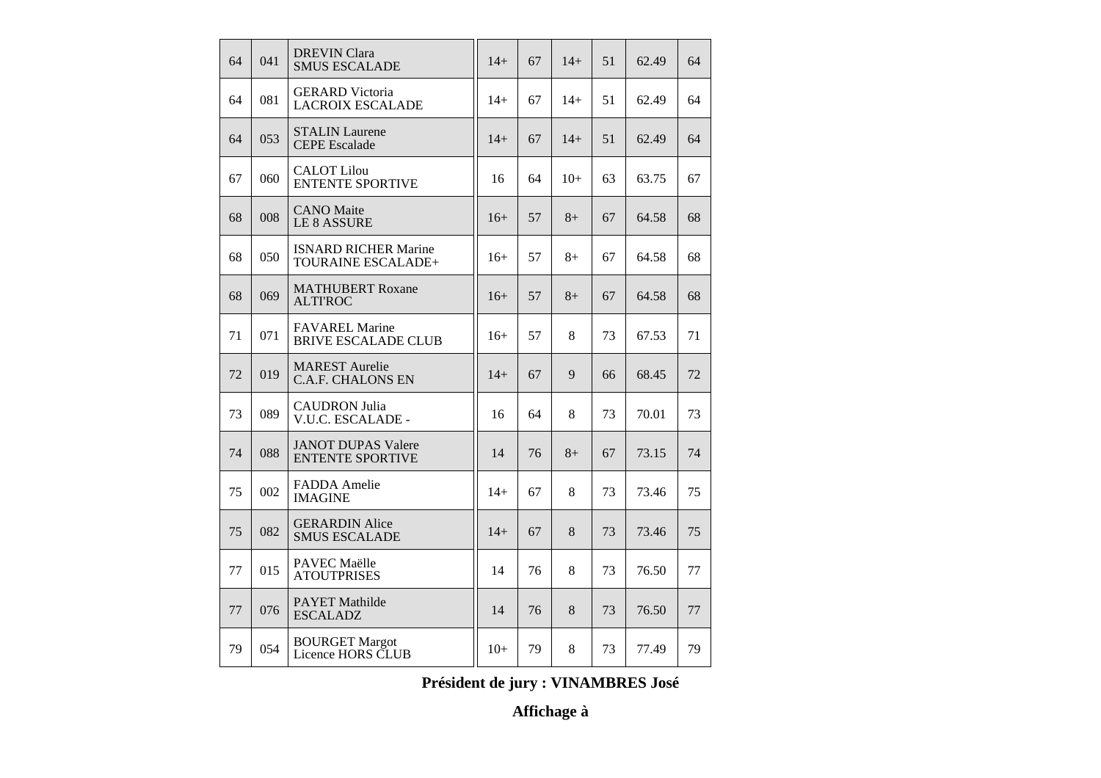| 64 | 041 | <b>DREVIN Clara</b><br><b>SMUS ESCALADE</b>          | $14+$ | 67 | $14+$ | 51 | 62.49 | 64 |
|----|-----|------------------------------------------------------|-------|----|-------|----|-------|----|
| 64 | 081 | <b>GERARD</b> Victoria<br><b>LACROIX ESCALADE</b>    | $14+$ | 67 | $14+$ | 51 | 62.49 | 64 |
| 64 | 053 | <b>STALIN</b> Laurene<br><b>CEPE</b> Escalade        | $14+$ | 67 | $14+$ | 51 | 62.49 | 64 |
| 67 | 060 | <b>CALOT Lilou</b><br><b>ENTENTE SPORTIVE</b>        | 16    | 64 | $10+$ | 63 | 63.75 | 67 |
| 68 | 008 | <b>CANO</b> Maite<br><b>LE 8 ASSURE</b>              | $16+$ | 57 | $8+$  | 67 | 64.58 | 68 |
| 68 | 050 | <b>ISNARD RICHER Marine</b><br>TOURAINE ESCALADE+    | $16+$ | 57 | $8+$  | 67 | 64.58 | 68 |
| 68 | 069 | <b>MATHUBERT Roxane</b><br><b>ALTI'ROC</b>           | $16+$ | 57 | $8+$  | 67 | 64.58 | 68 |
| 71 | 071 | <b>FAVAREL Marine</b><br><b>BRIVE ESCALADE CLUB</b>  | $16+$ | 57 | 8     | 73 | 67.53 | 71 |
| 72 | 019 | <b>MAREST</b> Aurelie<br><b>C.A.F. CHALONS EN</b>    | $14+$ | 67 | 9     | 66 | 68.45 | 72 |
| 73 | 089 | <b>CAUDRON Julia</b><br>V.U.C. ESCALADE -            | 16    | 64 | 8     | 73 | 70.01 | 73 |
| 74 | 088 | <b>JANOT DUPAS Valere</b><br><b>ENTENTE SPORTIVE</b> | 14    | 76 | $8+$  | 67 | 73.15 | 74 |
| 75 | 002 | FADDA Amelie<br><b>IMAGINE</b>                       | $14+$ | 67 | 8     | 73 | 73.46 | 75 |
| 75 | 082 | <b>GERARDIN Alice</b><br><b>SMUS ESCALADE</b>        | $14+$ | 67 | 8     | 73 | 73.46 | 75 |
| 77 | 015 | PAVEC Maëlle<br><b>ATOUTPRISES</b>                   | 14    | 76 | 8     | 73 | 76.50 | 77 |
| 77 | 076 | <b>PAYET Mathilde</b><br><b>ESCALADZ</b>             | 14    | 76 | 8     | 73 | 76.50 | 77 |
| 79 | 054 | <b>BOURGET Margot</b><br>Licence HORS CLUB           | $10+$ | 79 | 8     | 73 | 77.49 | 79 |

**Président de jury : VINAMBRES José**

**Affichage à**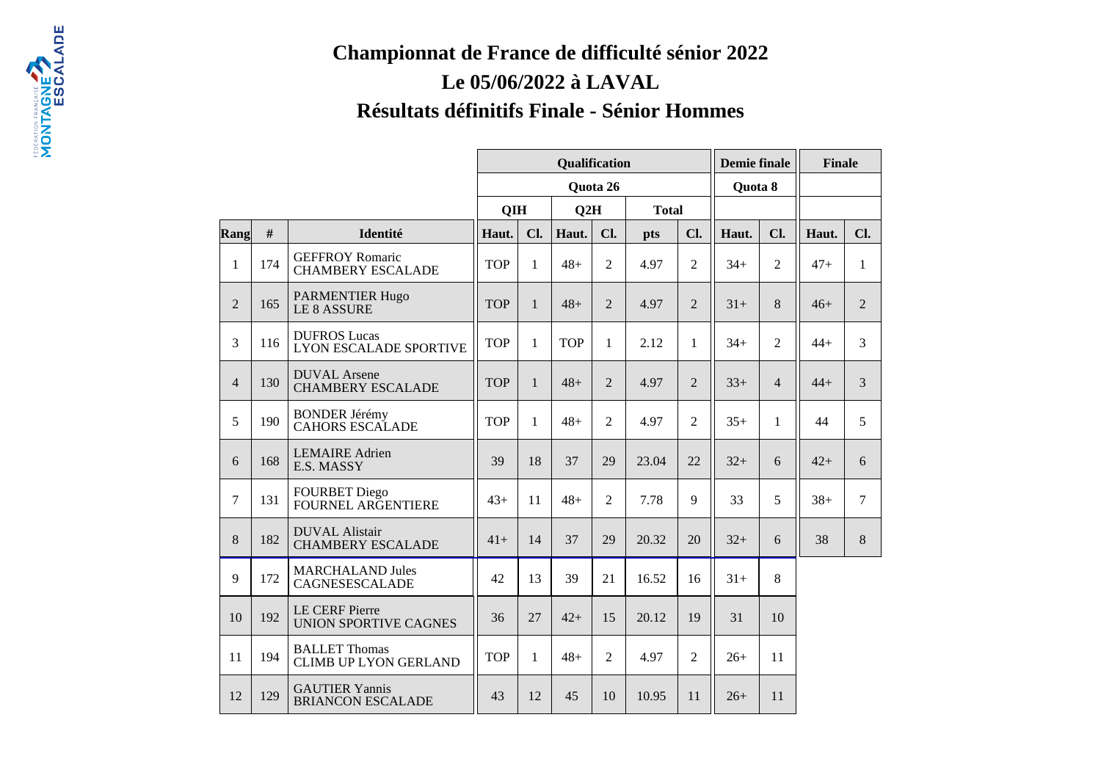## **Championnat de France de difficulté sénior 2022Le 05/06/2022 à LAVALRésultats définitifs Finale - Sénior Hommes**

|                |     |                                                       |            |              | Qualification |                |              |                | <b>Demie finale</b> |                | <b>Finale</b> |                |
|----------------|-----|-------------------------------------------------------|------------|--------------|---------------|----------------|--------------|----------------|---------------------|----------------|---------------|----------------|
|                |     |                                                       |            |              |               | Quota 26       |              |                | Quota 8             |                |               |                |
|                |     |                                                       | QIH        |              | Q2H           |                | <b>Total</b> |                |                     |                |               |                |
| Rang           | #   | Identité                                              | Haut.      | Cl.          | Haut.         | Cl.            | <b>pts</b>   | Cl.            | Haut.               | Cl.            | Haut.         | Cl.            |
| 1              | 174 | <b>GEFFROY Romaric</b><br><b>CHAMBERY ESCALADE</b>    | <b>TOP</b> | 1            | $48+$         | $\overline{2}$ | 4.97         | $\overline{2}$ | $34+$               | $\overline{2}$ | $47+$         | $\mathbf{1}$   |
| $\overline{2}$ | 165 | PARMENTIER Hugo<br><b>LE 8 ASSURE</b>                 | <b>TOP</b> | $\mathbf{1}$ | $48+$         | $\overline{2}$ | 4.97         | $\overline{2}$ | $31+$               | 8              | $46+$         | $\overline{2}$ |
| 3              | 116 | <b>DUFROS Lucas</b><br><b>LYON ESCALADE SPORTIVE</b>  | <b>TOP</b> | $\mathbf{1}$ | <b>TOP</b>    | $\mathbf{1}$   | 2.12         | $\mathbf{1}$   | $34+$               | $\overline{2}$ | $44 +$        | $\overline{3}$ |
| $\overline{4}$ | 130 | <b>DUVAL</b> Arsene<br><b>CHAMBERY ESCALADE</b>       | <b>TOP</b> | $\mathbf{1}$ | $48+$         | $\overline{2}$ | 4.97         | $\overline{2}$ | $33+$               | $\overline{4}$ | $44+$         | $\overline{3}$ |
| 5              | 190 | <b>BONDER Jérémy</b><br><b>CAHORS ESCALADE</b>        | <b>TOP</b> | 1            | $48+$         | $\overline{2}$ | 4.97         | $\overline{2}$ | $35+$               | $\mathbf{1}$   | 44            | 5              |
| 6              | 168 | <b>LEMAIRE</b> Adrien<br>E.S. MASSY                   | 39         | 18           | 37            | 29             | 23.04        | 22             | $32+$               | 6              | $42+$         | 6              |
| $\tau$         | 131 | <b>FOURBET Diego</b><br>FOURNEL ARGENTIERE            | $43+$      | 11           | $48+$         | $\overline{2}$ | 7.78         | $\mathbf Q$    | 33                  | 5              | $38+$         | $\overline{7}$ |
| 8              | 182 | <b>DUVAL Alistair</b><br><b>CHAMBERY ESCALADE</b>     | $41+$      | 14           | 37            | 29             | 20.32        | 20             | $32+$               | 6              | 38            | 8              |
| 9              | 172 | <b>MARCHALAND Jules</b><br>CAGNESESCALADE             | 42         | 13           | 39            | 21             | 16.52        | 16             | $31+$               | 8              |               |                |
| 10             | 192 | <b>LE CERF Pierre</b><br><b>UNION SPORTIVE CAGNES</b> | 36         | 27           | $42+$         | 15             | 20.12        | 19             | 31                  | 10             |               |                |
| 11             | 194 | <b>BALLET</b> Thomas<br><b>CLIMB UP LYON GERLAND</b>  | <b>TOP</b> | $\mathbf{1}$ | $48+$         | $\overline{2}$ | 4.97         | $\overline{2}$ | $26+$               | 11             |               |                |
| 12             | 129 | <b>GAUTIER Yannis</b><br><b>BRIANCON ESCALADE</b>     | 43         | 12           | 45            | 10             | 10.95        | 11             | $26+$               | 11             |               |                |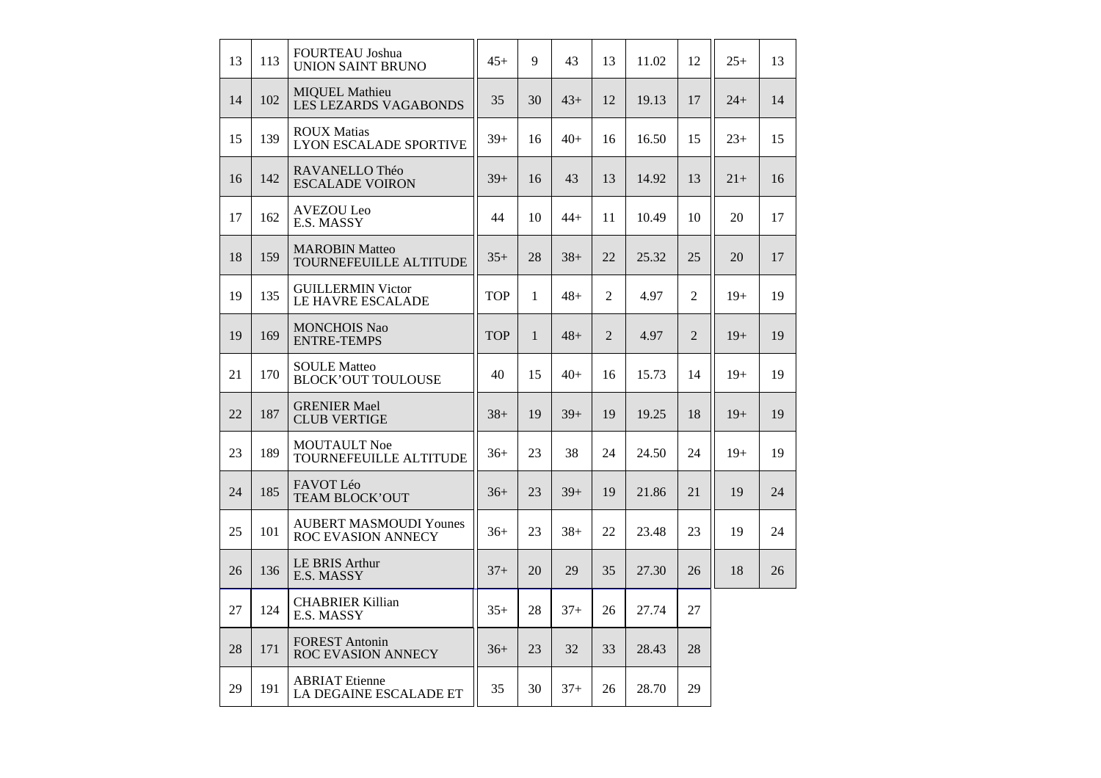| 13 | 113 | <b>FOURTEAU Joshua</b><br><b>UNION SAINT BRUNO</b>  | $45+$      | 9            | 43    | 13             | 11.02 | 12             | $25+$ | 13 |
|----|-----|-----------------------------------------------------|------------|--------------|-------|----------------|-------|----------------|-------|----|
| 14 | 102 | <b>MIQUEL Mathieu</b><br>LES LEZARDS VAGABONDS      | 35         | 30           | $43+$ | 12             | 19.13 | 17             | $24+$ | 14 |
| 15 | 139 | <b>ROUX Matias</b><br>LYON ESCALADE SPORTIVE        | $39+$      | 16           | $40+$ | 16             | 16.50 | 15             | $23+$ | 15 |
| 16 | 142 | RAVANELLO Théo<br><b>ESCALADE VOIRON</b>            | $39+$      | 16           | 43    | 13             | 14.92 | 13             | $21+$ | 16 |
| 17 | 162 | <b>AVEZOU Leo</b><br>E.S. MASSY                     | 44         | 10           | $44+$ | 11             | 10.49 | 10             | 20    | 17 |
| 18 | 159 | <b>MAROBIN Matteo</b><br>TOURNEFEUILLE ALTITUDE     | $35+$      | 28           | $38+$ | 22             | 25.32 | 25             | 20    | 17 |
| 19 | 135 | <b>GUILLERMIN Victor</b><br>LE HAVRE ESCALADE       | <b>TOP</b> | $\mathbf{1}$ | $48+$ | 2              | 4.97  | $\overline{2}$ | $19+$ | 19 |
| 19 | 169 | <b>MONCHOIS Nao</b><br><b>ENTRE-TEMPS</b>           | <b>TOP</b> | $\mathbf{1}$ | $48+$ | $\overline{2}$ | 4.97  | $\overline{2}$ | $19+$ | 19 |
| 21 | 170 | <b>SOULE Matteo</b><br><b>BLOCK'OUT TOULOUSE</b>    | 40         | 15           | $40+$ | 16             | 15.73 | 14             | $19+$ | 19 |
| 22 | 187 | <b>GRENIER Mael</b><br><b>CLUB VERTIGE</b>          | $38+$      | 19           | $39+$ | 19             | 19.25 | 18             | $19+$ | 19 |
| 23 | 189 | <b>MOUTAULT Noe</b><br>TOURNEFEUILLE ALTITUDE       | $36+$      | 23           | 38    | 24             | 24.50 | 24             | $19+$ | 19 |
| 24 | 185 | FAVOT Léo<br>TEAM BLOCK'OUT                         | $36+$      | 23           | $39+$ | 19             | 21.86 | 21             | 19    | 24 |
| 25 | 101 | <b>AUBERT MASMOUDI Younes</b><br>ROC EVASION ANNECY | $36+$      | 23           | $38+$ | 22             | 23.48 | 23             | 19    | 24 |
| 26 | 136 | <b>LE BRIS Arthur</b><br>E.S. MASSY                 | $37+$      | 20           | 29    | 35             | 27.30 | 26             | 18    | 26 |
| 27 | 124 | <b>CHABRIER Killian</b><br>E.S. MASSY               | $35+$      | 28           | $37+$ | 26             | 27.74 | 27             |       |    |
| 28 | 171 | <b>FOREST Antonin</b><br>ROC EVASION ANNECY         | $36+$      | 23           | 32    | 33             | 28.43 | 28             |       |    |
| 29 | 191 | <b>ABRIAT</b> Etienne<br>LA DEGAINE ESCALADE ET     | 35         | 30           | $37+$ | 26             | 28.70 | 29             |       |    |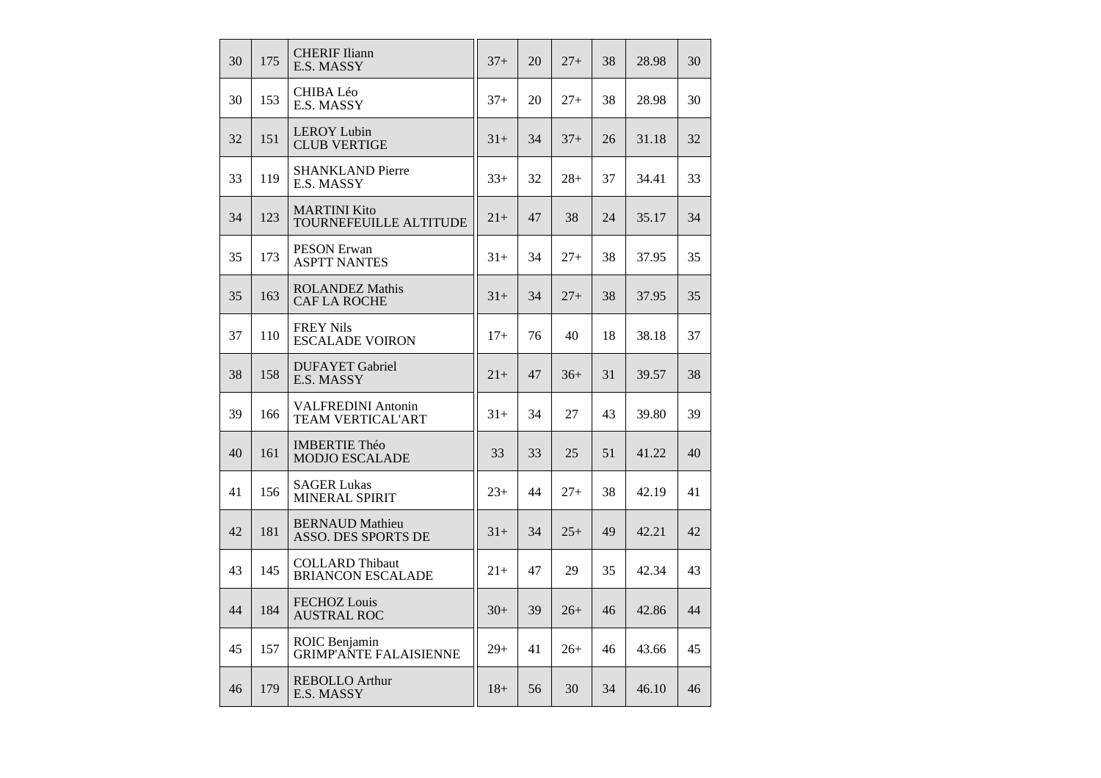| 30 | 175 | <b>CHERIF Iliann</b><br>E.S. MASSY                    | $37+$ | 20 | $27+$ | 38 | 28.98 | 30 |
|----|-----|-------------------------------------------------------|-------|----|-------|----|-------|----|
| 30 | 153 | CHIBA Léo<br>E.S. MASSY                               | $37+$ | 20 | $27+$ | 38 | 28.98 | 30 |
| 32 | 151 | <b>LEROY Lubin</b><br><b>CLUB VERTIGE</b>             | $31+$ | 34 | $37+$ | 26 | 31.18 | 32 |
| 33 | 119 | <b>SHANKLAND Pierre</b><br>E.S. MASSY                 | $33+$ | 32 | $28+$ | 37 | 34.41 | 33 |
| 34 | 123 | <b>MARTINI Kito</b><br>TOURNEFEUILLE ALTITUDE         | $21+$ | 47 | 38    | 24 | 35.17 | 34 |
| 35 | 173 | <b>PESON Erwan</b><br><b>ASPTT NANTES</b>             | $31+$ | 34 | $27+$ | 38 | 37.95 | 35 |
| 35 | 163 | <b>ROLANDEZ Mathis</b><br><b>CAF LA ROCHE</b>         | $31+$ | 34 | $27+$ | 38 | 37.95 | 35 |
| 37 | 110 | <b>FREY Nils</b><br><b>ESCALADE VOIRON</b>            | $17+$ | 76 | 40    | 18 | 38.18 | 37 |
| 38 | 158 | <b>DUFAYET</b> Gabriel<br>E.S. MASSY                  | $21+$ | 47 | $36+$ | 31 | 39.57 | 38 |
| 39 | 166 | <b>VALFREDINI Antonin</b><br><b>TEAM VERTICAL'ART</b> | $31+$ | 34 | 27    | 43 | 39.80 | 39 |
| 40 | 161 | <b>IMBERTIE Théo</b><br><b>MODJO ESCALADE</b>         | 33    | 33 | 25    | 51 | 41.22 | 40 |
| 41 | 156 | <b>SAGER Lukas</b><br>MINERAL SPIRIT                  | $23+$ | 44 | $27+$ | 38 | 42.19 | 41 |
| 42 | 181 | <b>BERNAUD Mathieu</b><br>ASSO. DES SPORTS DE         | $31+$ | 34 | $25+$ | 49 | 42.21 | 42 |
| 43 | 145 | <b>COLLARD</b> Thibaut<br><b>BRIANCON ESCALADE</b>    | $21+$ | 47 | 29    | 35 | 42.34 | 43 |
| 44 | 184 | <b>FECHOZ</b> Louis<br><b>AUSTRAL ROC</b>             | $30+$ | 39 | $26+$ | 46 | 42.86 | 44 |
| 45 | 157 | ROIC Benjamin<br><b>GRIMP'ANTE FALAISIENNE</b>        | $29+$ | 41 | $26+$ | 46 | 43.66 | 45 |
| 46 | 179 | <b>REBOLLO</b> Arthur<br>E.S. MASSY                   | $18+$ | 56 | 30    | 34 | 46.10 | 46 |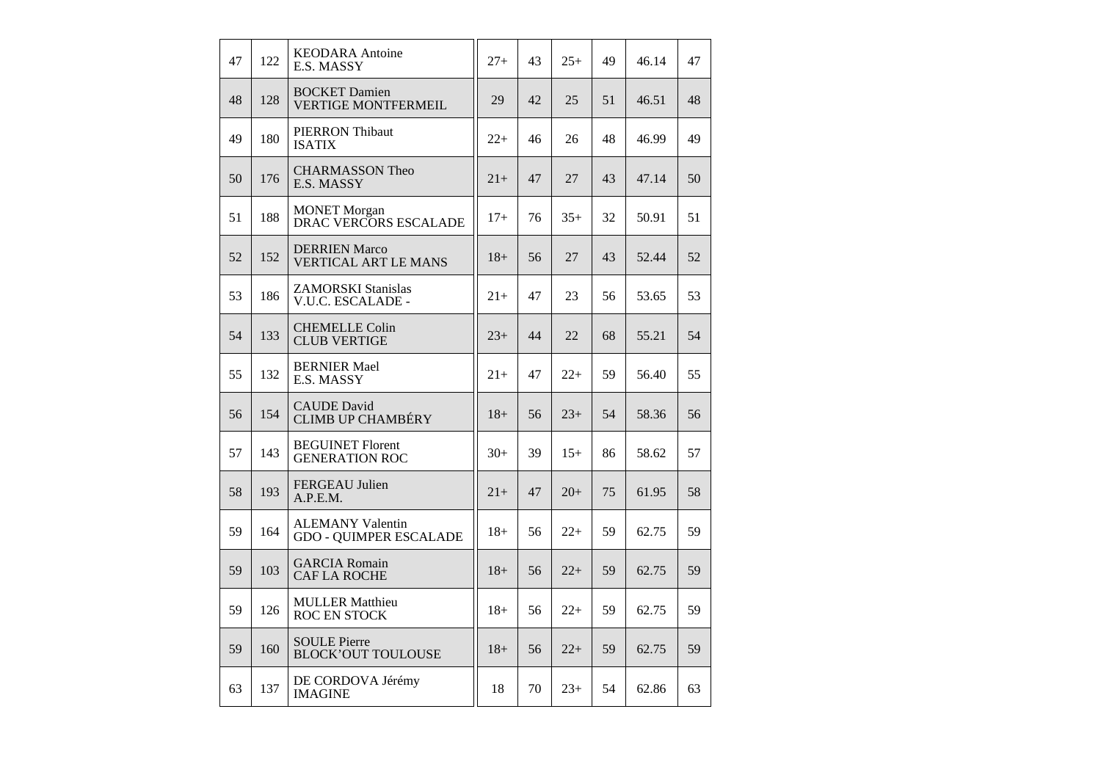| 47 | 122 | <b>KEODARA</b> Antoine<br>E.S. MASSY                     | $27+$  | 43 | $25+$ | 49 | 46.14 | 47 |
|----|-----|----------------------------------------------------------|--------|----|-------|----|-------|----|
| 48 | 128 | <b>BOCKET</b> Damien<br><b>VERTIGE MONTFERMEIL</b>       | 29     | 42 | 25    | 51 | 46.51 | 48 |
| 49 | 180 | <b>PIERRON</b> Thibaut<br><b>ISATIX</b>                  | $22+$  | 46 | 26    | 48 | 46.99 | 49 |
| 50 | 176 | <b>CHARMASSON Theo</b><br>E.S. MASSY                     | $21+$  | 47 | 27    | 43 | 47.14 | 50 |
| 51 | 188 | <b>MONET</b> Morgan<br>DRAC VERCORS ESCALADE             | $17+$  | 76 | $35+$ | 32 | 50.91 | 51 |
| 52 | 152 | <b>DERRIEN Marco</b><br><b>VERTICAL ART LE MANS</b>      | $18+$  | 56 | 27    | 43 | 52.44 | 52 |
| 53 | 186 | <b>ZAMORSKI Stanislas</b><br>V.U.C. ESCALADE -           | $21+$  | 47 | 23    | 56 | 53.65 | 53 |
| 54 | 133 | <b>CHEMELLE Colin</b><br><b>CLUB VERTIGE</b>             | $23+$  | 44 | 22    | 68 | 55.21 | 54 |
| 55 | 132 | <b>BERNIER Mael</b><br>E.S. MASSY                        | $21+$  | 47 | $22+$ | 59 | 56.40 | 55 |
| 56 | 154 | <b>CAUDE</b> David<br><b>CLIMB UP CHAMBÉRY</b>           | $18+$  | 56 | $23+$ | 54 | 58.36 | 56 |
| 57 | 143 | <b>BEGUINET Florent</b><br><b>GENERATION ROC</b>         | $30+$  | 39 | $15+$ | 86 | 58.62 | 57 |
| 58 | 193 | <b>FERGEAU Julien</b><br>A.P.E.M.                        | $21+$  | 47 | $20+$ | 75 | 61.95 | 58 |
| 59 | 164 | <b>ALEMANY Valentin</b><br><b>GDO - QUIMPER ESCALADE</b> | $18+$  | 56 | $22+$ | 59 | 62.75 | 59 |
| 59 | 103 | <b>GARCIA Romain</b><br><b>CAF LA ROCHE</b>              | $18+$  | 56 | $22+$ | 59 | 62.75 | 59 |
| 59 | 126 | <b>MULLER Matthieu</b><br><b>ROC EN STOCK</b>            | $18 +$ | 56 | $22+$ | 59 | 62.75 | 59 |
| 59 | 160 | <b>SOULE Pierre</b><br><b>BLOCK'OUT TOULOUSE</b>         | $18+$  | 56 | $22+$ | 59 | 62.75 | 59 |
| 63 | 137 | DE CORDOVA Jérémy<br><b>IMAGINE</b>                      | 18     | 70 | $23+$ | 54 | 62.86 | 63 |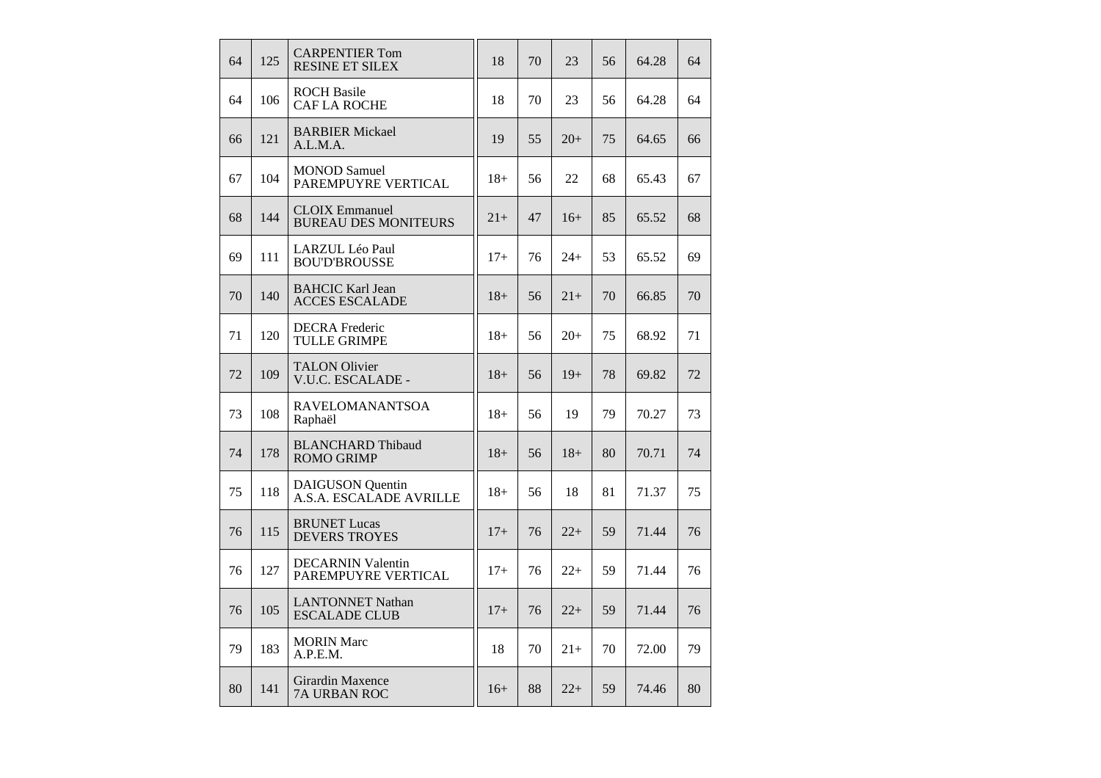| 64 | 125 | <b>CARPENTIER Tom</b><br><b>RESINE ET SILEX</b>      | 18    | 70 | 23    | 56 | 64.28 | 64 |
|----|-----|------------------------------------------------------|-------|----|-------|----|-------|----|
| 64 | 106 | <b>ROCH Basile</b><br><b>CAFLA ROCHE</b>             | 18    | 70 | 23    | 56 | 64.28 | 64 |
| 66 | 121 | <b>BARBIER Mickael</b><br>A.L.M.A.                   | 19    | 55 | $20+$ | 75 | 64.65 | 66 |
| 67 | 104 | <b>MONOD Samuel</b><br>PAREMPUYRE VERTICAL           | $18+$ | 56 | 22    | 68 | 65.43 | 67 |
| 68 | 144 | <b>CLOIX</b> Emmanuel<br><b>BUREAU DES MONITEURS</b> | $21+$ | 47 | $16+$ | 85 | 65.52 | 68 |
| 69 | 111 | LARZUL Léo Paul<br><b>BOU'D'BROUSSE</b>              | $17+$ | 76 | $24+$ | 53 | 65.52 | 69 |
| 70 | 140 | <b>BAHCIC Karl Jean</b><br><b>ACCES ESCALADE</b>     | $18+$ | 56 | $21+$ | 70 | 66.85 | 70 |
| 71 | 120 | <b>DECRA</b> Frederic<br><b>TULLE GRIMPE</b>         | $18+$ | 56 | $20+$ | 75 | 68.92 | 71 |
| 72 | 109 | <b>TALON Olivier</b><br>V.U.C. ESCALADE -            | $18+$ | 56 | $19+$ | 78 | 69.82 | 72 |
| 73 | 108 | <b>RAVELOMANANTSOA</b><br>Raphaël                    | $18+$ | 56 | 19    | 79 | 70.27 | 73 |
| 74 | 178 | <b>BLANCHARD Thibaud</b><br><b>ROMO GRIMP</b>        | $18+$ | 56 | $18+$ | 80 | 70.71 | 74 |
| 75 | 118 | <b>DAIGUSON</b> Quentin<br>A.S.A. ESCALADE AVRILLE   | $18+$ | 56 | 18    | 81 | 71.37 | 75 |
| 76 | 115 | <b>BRUNET</b> Lucas<br><b>DEVERS TROYES</b>          | $17+$ | 76 | $22+$ | 59 | 71.44 | 76 |
| 76 | 127 | <b>DECARNIN Valentin</b><br>PAREMPUYRE VERTICAL      | $17+$ | 76 | $22+$ | 59 | 71.44 | 76 |
| 76 | 105 | <b>LANTONNET Nathan</b><br><b>ESCALADE CLUB</b>      | $17+$ | 76 | $22+$ | 59 | 71.44 | 76 |
| 79 | 183 | <b>MORIN</b> Marc<br>A.P.E.M.                        | 18    | 70 | $21+$ | 70 | 72.00 | 79 |
| 80 | 141 | Girardin Maxence<br>7A URBAN ROC                     | $16+$ | 88 | $22+$ | 59 | 74.46 | 80 |